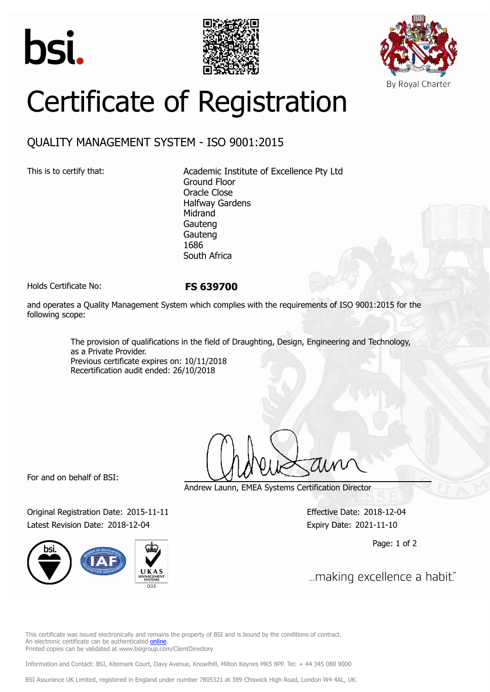





## Certificate of Registration

## QUALITY MANAGEMENT SYSTEM - ISO 9001:2015

This is to certify that: Academic Institute of Excellence Pty Ltd Ground Floor Oracle Close Halfway Gardens Midrand Gauteng Gauteng 1686 South Africa

Holds Certificate No: **FS 639700**

and operates a Quality Management System which complies with the requirements of ISO 9001:2015 for the following scope:

> The provision of qualifications in the field of Draughting, Design, Engineering and Technology, as a Private Provider. Previous certificate expires on: 10/11/2018 Recertification audit ended: 26/10/2018

For and on behalf of BSI:

Original Registration Date: 2015-11-11 Effective Date: 2018-12-04 Latest Revision Date: 2018-12-04 Expiry Date: 2021-11-10



Andrew Launn, EMEA Systems Certification Director

Page: 1 of 2

... making excellence a habit."

This certificate was issued electronically and remains the property of BSI and is bound by the conditions of contract. An electronic certificate can be authenticated [online](https://pgplus.bsigroup.com/CertificateValidation/CertificateValidator.aspx?CertificateNumber=FS+639700&ReIssueDate=04%2f12%2f2018&Template=cemea_en) Printed copies can be validated at www.bsigroup.com/ClientDirectory

Information and Contact: BSI, Kitemark Court, Davy Avenue, Knowlhill, Milton Keynes MK5 8PP. Tel: + 44 345 080 9000

BSI Assurance UK Limited, registered in England under number 7805321 at 389 Chiswick High Road, London W4 4AL, UK.